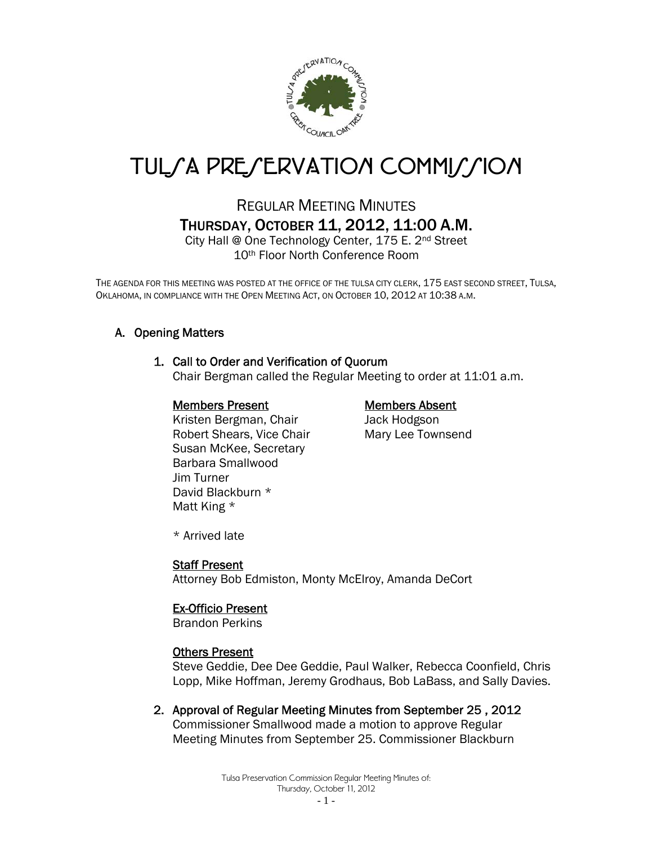

# TUL*SA PRESERVATION COMMISSION*

## REGULAR MEETING MINUTES THURSDAY, OCTOBER 11, 2012, 11:00 A.M.

City Hall @ One Technology Center, 175 E. 2nd Street 10th Floor North Conference Room

THE AGENDA FOR THIS MEETING WAS POSTED AT THE OFFICE OF THE TULSA CITY CLERK, 175 EAST SECOND STREET, TULSA, OKLAHOMA, IN COMPLIANCE WITH THE OPEN MEETING ACT, ON OCTOBER 10, 2012 AT 10:38 A.M.

### A. Opening Matters

#### 1. Call to Order and Verification of Quorum

Chair Bergman called the Regular Meeting to order at 11:01 a.m.

#### Members Present Members Absent

Kristen Bergman, Chair **Jack Hodgson** Robert Shears, Vice Chair Mary Lee Townsend Susan McKee, Secretary Barbara Smallwood Jim Turner David Blackburn \* Matt King \*

\* Arrived late

#### Staff Present

Attorney Bob Edmiston, Monty McElroy, Amanda DeCort

#### Ex-Officio Present

Brandon Perkins

#### Others Present

Steve Geddie, Dee Dee Geddie, Paul Walker, Rebecca Coonfield, Chris Lopp, Mike Hoffman, Jeremy Grodhaus, Bob LaBass, and Sally Davies.

2. Approval of Regular Meeting Minutes from September 25 , 2012 Commissioner Smallwood made a motion to approve Regular Meeting Minutes from September 25. Commissioner Blackburn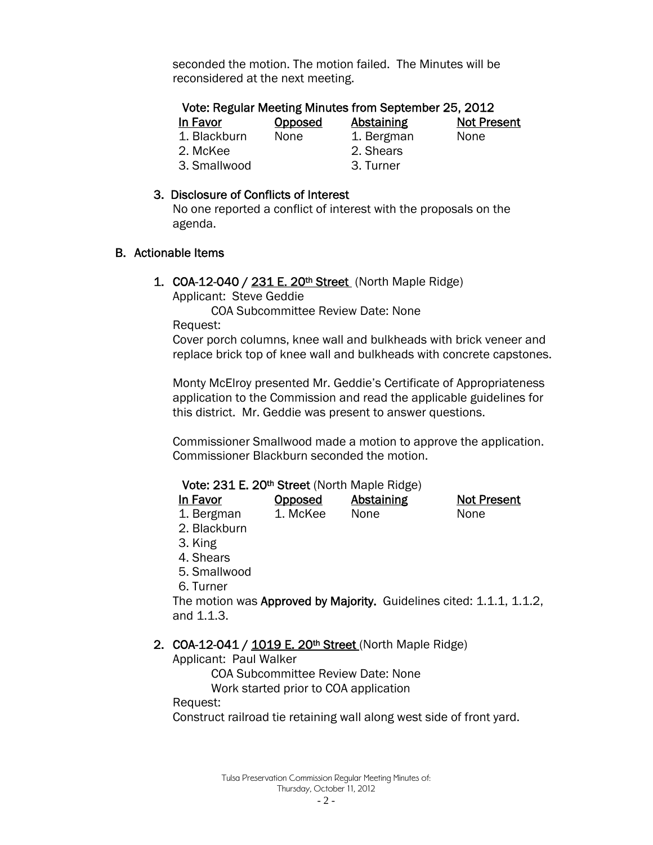seconded the motion. The motion failed. The Minutes will be reconsidered at the next meeting.

#### Vote: Regular Meeting Minutes from September 25, 2012 In Favor **Opposed** Abstaining Not Present

1. Blackburn None 1. Bergman None

2. McKee 2. Shears

3. Smallwood 3. Turner

- 
- 

#### 3. Disclosure of Conflicts of Interest

 No one reported a conflict of interest with the proposals on the agenda.

#### B. Actionable Items

1. COA-12-040 / 231 E. 20<sup>th</sup> Street (North Maple Ridge)

Applicant: Steve Geddie

COA Subcommittee Review Date: None

Request:

Cover porch columns, knee wall and bulkheads with brick veneer and replace brick top of knee wall and bulkheads with concrete capstones.

Monty McElroy presented Mr. Geddie's Certificate of Appropriateness application to the Commission and read the applicable guidelines for this district. Mr. Geddie was present to answer questions.

Commissioner Smallwood made a motion to approve the application. Commissioner Blackburn seconded the motion.

### Vote: 231 E. 20th Street (North Maple Ridge)

| In Favor   | <b>Opposed</b> | <b>Abstaining</b> | <b>Not Present</b> |
|------------|----------------|-------------------|--------------------|
| 1. Bergman | 1. McKee       | None              | <b>None</b>        |

- 2. Blackburn
- 3. King
- 4. Shears
- 5. Smallwood
- 6. Turner

The motion was Approved by Majority. Guidelines cited: 1.1.1, 1.1.2, and 1.1.3.

#### 2. COA-12-041 / 1019 E. 20<sup>th</sup> Street (North Maple Ridge)

Applicant: Paul Walker

COA Subcommittee Review Date: None

Work started prior to COA application

#### Request:

Construct railroad tie retaining wall along west side of front yard.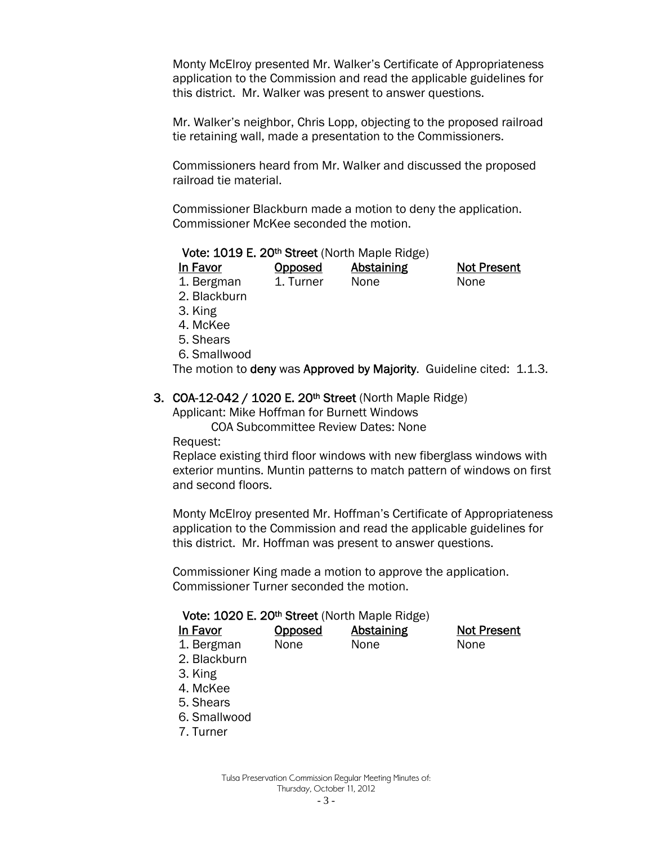Monty McElroy presented Mr. Walker's Certificate of Appropriateness application to the Commission and read the applicable guidelines for this district. Mr. Walker was present to answer questions.

Mr. Walker's neighbor, Chris Lopp, objecting to the proposed railroad tie retaining wall, made a presentation to the Commissioners.

Commissioners heard from Mr. Walker and discussed the proposed railroad tie material.

Commissioner Blackburn made a motion to deny the application. Commissioner McKee seconded the motion.

#### Vote: 1019 E. 20th Street (North Maple Ridge)

| In Favor   | <b>Opposed</b> | Abstaining | <b>Not Present</b> |
|------------|----------------|------------|--------------------|
| 1. Bergman | 1. Turner      | None       | None               |

- 2. Blackburn
	-
- 3. King
- 4. McKee
- 5. Shears
- 6. Smallwood

The motion to deny was Approved by Majority. Guideline cited: 1.1.3.

#### 3. COA-12-042 / 1020 E. 20<sup>th</sup> Street (North Maple Ridge)

Applicant: Mike Hoffman for Burnett Windows

COA Subcommittee Review Dates: None

Request:

Replace existing third floor windows with new fiberglass windows with exterior muntins. Muntin patterns to match pattern of windows on first and second floors.

Monty McElroy presented Mr. Hoffman's Certificate of Appropriateness application to the Commission and read the applicable guidelines for this district. Mr. Hoffman was present to answer questions.

Commissioner King made a motion to approve the application. Commissioner Turner seconded the motion.

#### Vote: 1020 E. 20<sup>th</sup> Street (North Maple Ridge)

| ın ı | ravor |
|------|-------|
|      |       |

1. Bergman None None None

**Opposed** Abstaining Not Present

- 2. Blackburn
- 3. King
- 4. McKee
- 5. Shears
- 6. Smallwood
- 7. Turner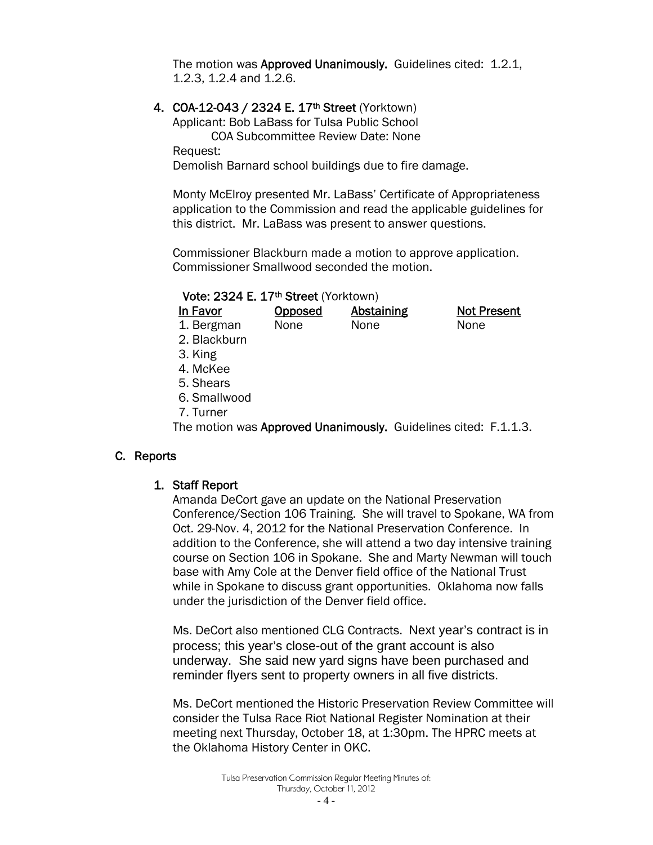The motion was Approved Unanimously. Guidelines cited: 1.2.1, 1.2.3, 1.2.4 and 1.2.6.

#### 4. COA-12-043 / 2324 E. 17<sup>th</sup> Street (Yorktown)

Applicant: Bob LaBass for Tulsa Public School COA Subcommittee Review Date: None Request:

Demolish Barnard school buildings due to fire damage.

Monty McElroy presented Mr. LaBass' Certificate of Appropriateness application to the Commission and read the applicable guidelines for this district. Mr. LaBass was present to answer questions.

Commissioner Blackburn made a motion to approve application. Commissioner Smallwood seconded the motion.

#### Vote: 2324 E. 17th Street (Yorktown)

| In Favor                                                        | <b>Opposed</b> | <b>Abstaining</b> |      | <b>Not Present</b> |
|-----------------------------------------------------------------|----------------|-------------------|------|--------------------|
| 1. Bergman                                                      | None           | None              | None |                    |
| 2. Blackburn                                                    |                |                   |      |                    |
| 3. King                                                         |                |                   |      |                    |
| 4. McKee                                                        |                |                   |      |                    |
| 5. Shears                                                       |                |                   |      |                    |
| 6. Smallwood                                                    |                |                   |      |                    |
| 7. Turner                                                       |                |                   |      |                    |
| The motion was Approved Unanimously. Guidelines cited: F.1.1.3. |                |                   |      |                    |

#### C. Reports

#### 1. Staff Report

Amanda DeCort gave an update on the National Preservation Conference/Section 106 Training. She will travel to Spokane, WA from Oct. 29-Nov. 4, 2012 for the National Preservation Conference. In addition to the Conference, she will attend a two day intensive training course on Section 106 in Spokane. She and Marty Newman will touch base with Amy Cole at the Denver field office of the National Trust while in Spokane to discuss grant opportunities. Oklahoma now falls under the jurisdiction of the Denver field office.

Ms. DeCort also mentioned CLG Contracts. Next year's contract is in process; this year's close-out of the grant account is also underway. She said new yard signs have been purchased and reminder flyers sent to property owners in all five districts.

Ms. DeCort mentioned the Historic Preservation Review Committee will consider the Tulsa Race Riot National Register Nomination at their meeting next Thursday, October 18, at 1:30pm. The HPRC meets at the Oklahoma History Center in OKC.